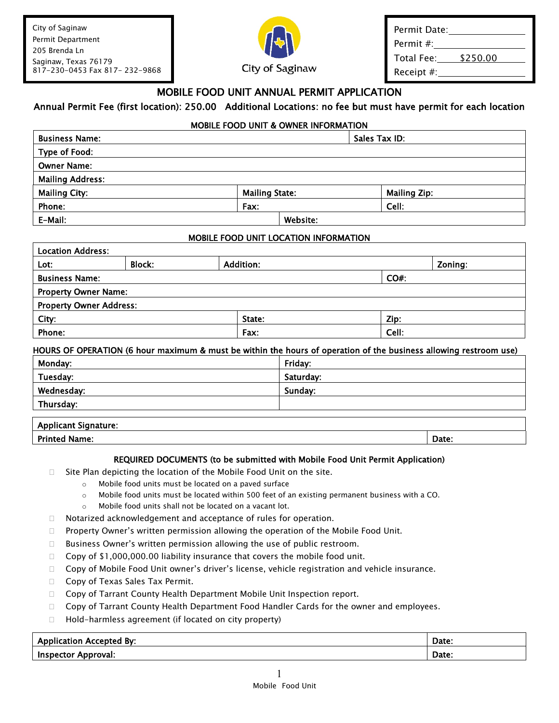City of Saginaw Permit Department 205 Brenda Ln Saginaw, Texas 76179 817-230-0453 Fax 817- 232-9868



Permit Date: Permit #: Total Fee: \$250.00 Receipt #:

### MOBILE FOOD UNIT ANNUAL PERMIT APPLICATION

### Annual Permit Fee (first location): 250.00 Additional Locations: no fee but must have permit for each location

#### MOBILE FOOD UNIT & OWNER INFORMATION

| <b>Business Name:</b>   |                       |          | Sales Tax ID:       |
|-------------------------|-----------------------|----------|---------------------|
| Type of Food:           |                       |          |                     |
| <b>Owner Name:</b>      |                       |          |                     |
| <b>Mailing Address:</b> |                       |          |                     |
| <b>Mailing City:</b>    | <b>Mailing State:</b> |          | <b>Mailing Zip:</b> |
| Phone:                  | Fax:                  |          | Cell:               |
| E-Mail:                 |                       | Website: |                     |

#### MOBILE FOOD UNIT LOCATION INFORMATION

| <b>Location Address:</b>       |               |                  |         |  |
|--------------------------------|---------------|------------------|---------|--|
| Lot:                           | <b>Block:</b> | <b>Addition:</b> | Zoning: |  |
| <b>Business Name:</b>          |               |                  | $CO#$ : |  |
| <b>Property Owner Name:</b>    |               |                  |         |  |
| <b>Property Owner Address:</b> |               |                  |         |  |
| City:                          |               | State:           | Zip:    |  |
| Phone:                         |               | Fax:             | Cell:   |  |

#### HOURS OF OPERATION (6 hour maximum & must be within the hours of operation of the business allowing restroom use)

| Monday:    | Friday:   |  |
|------------|-----------|--|
| Tuesday:   | Saturday: |  |
| Wednesday: | Sunday:   |  |
| Thursday:  |           |  |
|            |           |  |

# Applicant Signature:

#### Printed Name: Date:

#### REQUIRED DOCUMENTS (to be submitted with Mobile Food Unit Permit Application)

- $\Box$  Site Plan depicting the location of the Mobile Food Unit on the site.
	- o Mobile food units must be located on a paved surface
	- $\circ$  Mobile food units must be located within 500 feet of an existing permanent business with a CO.
	- o Mobile food units shall not be located on a vacant lot.
- □ Notarized acknowledgement and acceptance of rules for operation.
- $\Box$  Property Owner's written permission allowing the operation of the Mobile Food Unit.
- $\Box$  Business Owner's written permission allowing the use of public restroom.
- Copy of  $$1,000,000.00$  liability insurance that covers the mobile food unit.
- $\Box$  Copy of Mobile Food Unit owner's driver's license, vehicle registration and vehicle insurance.
- □ Copy of Texas Sales Tax Permit.
- □ Copy of Tarrant County Health Department Mobile Unit Inspection report.
- $\Box$  Copy of Tarrant County Health Department Food Handler Cards for the owner and employees.
- $\Box$  Hold-harmless agreement (if located on city property)

| <b>Application Accepted By:</b> | Date: |
|---------------------------------|-------|
| Approval:<br><b>Inspector</b>   | Date: |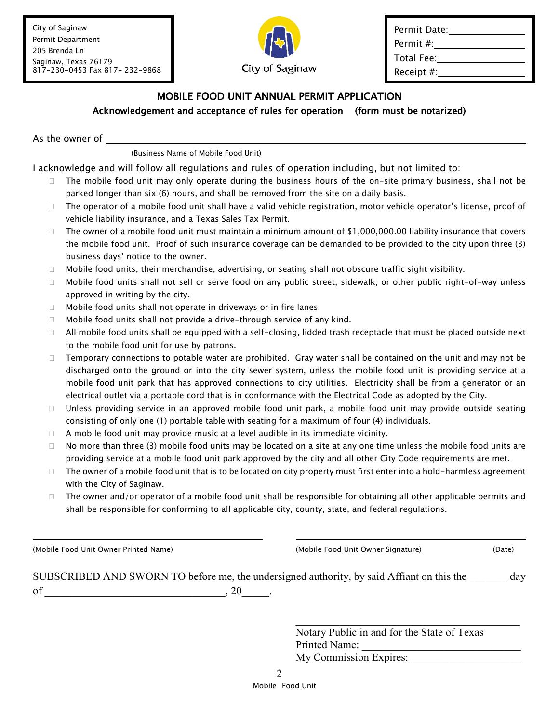City of Saginaw Permit Department 205 Brenda Ln Saginaw, Texas 76179 817-230-0453 Fax 817- 232-9868



| Permit Date:  |
|---------------|
| Permit #:     |
| Total Fee:    |
| Receipt $#$ : |

### MOBILE FOOD UNIT ANNUAL PERMIT APPLICATION Acknowledgement and acceptance of rules for operation (form must be notarized)

As the owner of

(Business Name of Mobile Food Unit)

I acknowledge and will follow all regulations and rules of operation including, but not limited to:

- $\Box$  The mobile food unit may only operate during the business hours of the on-site primary business, shall not be parked longer than six (6) hours, and shall be removed from the site on a daily basis.
- $\Box$  The operator of a mobile food unit shall have a valid vehicle registration, motor vehicle operator's license, proof of vehicle liability insurance, and a Texas Sales Tax Permit.
- $\Box$  The owner of a mobile food unit must maintain a minimum amount of \$1,000,000.00 liability insurance that covers the mobile food unit. Proof of such insurance coverage can be demanded to be provided to the city upon three (3) business days' notice to the owner.
- $\Box$  Mobile food units, their merchandise, advertising, or seating shall not obscure traffic sight visibility.
- Mobile food units shall not sell or serve food on any public street, sidewalk, or other public right-of-way unless approved in writing by the city.
- $\Box$  Mobile food units shall not operate in driveways or in fire lanes.
- $\Box$  Mobile food units shall not provide a drive-through service of any kind.
- $\Box$  All mobile food units shall be equipped with a self-closing, lidded trash receptacle that must be placed outside next to the mobile food unit for use by patrons.
- $\Box$  Temporary connections to potable water are prohibited. Gray water shall be contained on the unit and may not be discharged onto the ground or into the city sewer system, unless the mobile food unit is providing service at a mobile food unit park that has approved connections to city utilities. Electricity shall be from a generator or an electrical outlet via a portable cord that is in conformance with the Electrical Code as adopted by the City.
- □ Unless providing service in an approved mobile food unit park, a mobile food unit may provide outside seating consisting of only one (1) portable table with seating for a maximum of four (4) individuals.
- $\Box$  A mobile food unit may provide music at a level audible in its immediate vicinity.
- $\Box$  No more than three (3) mobile food units may be located on a site at any one time unless the mobile food units are providing service at a mobile food unit park approved by the city and all other City Code requirements are met.
- $\Box$  The owner of a mobile food unit that is to be located on city property must first enter into a hold-harmless agreement with the City of Saginaw.
- $\Box$  The owner and/or operator of a mobile food unit shall be responsible for obtaining all other applicable permits and shall be responsible for conforming to all applicable city, county, state, and federal regulations.

(Mobile Food Unit Owner Printed Name) (Mobile Food Unit Owner Signature) (Date)

|    | SUBSCRIBED AND SWORN TO before me, the undersigned authority, by said Affiant on this the | day |
|----|-------------------------------------------------------------------------------------------|-----|
| of |                                                                                           |     |

Notary Public in and for the State of Texas Printed Name: My Commission Expires:

 $\overline{\mathcal{L}}$  , and the state of the state of the state of the state of the state of the state of the state of the state of the state of the state of the state of the state of the state of the state of the state of the stat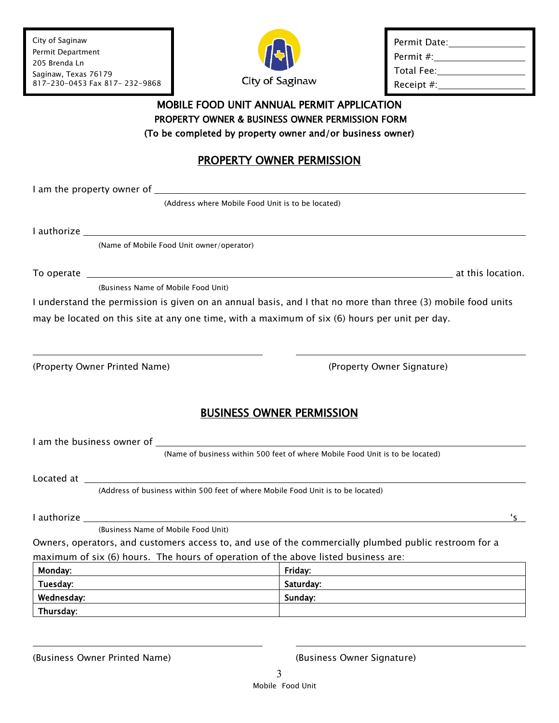City of Saginaw Permit Department 205 Brenda Ln Saginaw, Texas 76179 817-230-0453 Fax 817- 232-9868



| Permit Date: |
|--------------|
| Permit #:    |
| Total Fee:   |
| Receipt $#:$ |
|              |

### MOBILE FOOD UNIT ANNUAL PERMIT APPLICATION PROPERTY OWNER & BUSINESS OWNER PERMISSION FORM (To be completed by property owner and/or business owner)

# PROPERTY OWNER PERMISSION

I am the property owner of \_\_\_

(Address where Mobile Food Unit is to be located)

I authorize

(Name of Mobile Food Unit owner/operator)

To operate <u>the contraction of the contraction of the contraction.</u> The contraction of the contraction of the contraction of the contraction of the contraction of the contraction of the contraction of the contraction of th

(Business Name of Mobile Food Unit)

I understand the permission is given on an annual basis, and I that no more than three (3) mobile food units may be located on this site at any one time, with a maximum of six (6) hours per unit per day.

(Property Owner Printed Name) (Property Owner Signature)

## BUSINESS OWNER PERMISSION

I am the business owner of

(Name of business within 500 feet of where Mobile Food Unit is to be located)

Located at

(Address of business within 500 feet of where Mobile Food Unit is to be located)

I authorize 's

(Business Name of Mobile Food Unit)

Owners, operators, and customers access to, and use of the commercially plumbed public restroom for a maximum of six (6) hours. The hours of operation of the above listed business are:

| Monday:    | Friday:   |
|------------|-----------|
| Tuesday:   | Saturday: |
| Wednesday: | Sunday:   |
| Thursday:  |           |

(Business Owner Printed Name) (Business Owner Signature)